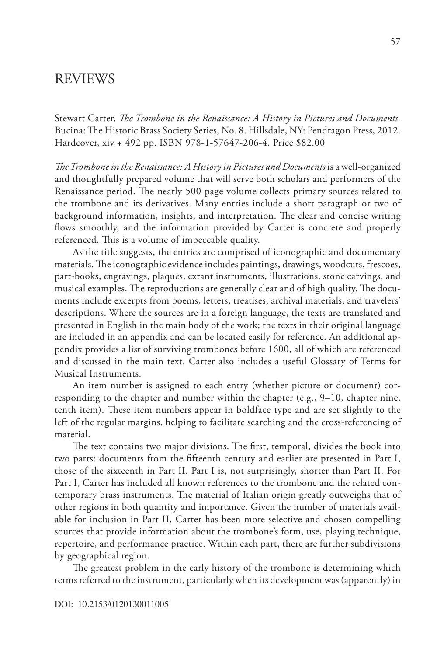Stewart Carter, *The Trombone in the Renaissance: A History in Pictures and Documents.* Bucina: The Historic Brass Society Series, No. 8. Hillsdale, NY: Pendragon Press, 2012. Hardcover, xiv + 492 pp. ISBN 978-1-57647-206-4. Price \$82.00

*The Trombone in the Renaissance: A History in Pictures and Documents* is a well-organized and thoughtfully prepared volume that will serve both scholars and performers of the Renaissance period. The nearly 500-page volume collects primary sources related to the trombone and its derivatives. Many entries include a short paragraph or two of background information, insights, and interpretation. The clear and concise writing flows smoothly, and the information provided by Carter is concrete and properly referenced. This is a volume of impeccable quality.

As the title suggests, the entries are comprised of iconographic and documentary materials. The iconographic evidence includes paintings, drawings, woodcuts, frescoes, part-books, engravings, plaques, extant instruments, illustrations, stone carvings, and musical examples. The reproductions are generally clear and of high quality. The documents include excerpts from poems, letters, treatises, archival materials, and travelers' descriptions. Where the sources are in a foreign language, the texts are translated and presented in English in the main body of the work; the texts in their original language are included in an appendix and can be located easily for reference. An additional appendix provides a list of surviving trombones before 1600, all of which are referenced and discussed in the main text. Carter also includes a useful Glossary of Terms for Musical Instruments.

An item number is assigned to each entry (whether picture or document) corresponding to the chapter and number within the chapter  $(e.g., 9-10,$  chapter nine, tenth item). These item numbers appear in boldface type and are set slightly to the left of the regular margins, helping to facilitate searching and the cross-referencing of material.

The text contains two major divisions. The first, temporal, divides the book into two parts: documents from the fifteenth century and earlier are presented in Part I, those of the sixteenth in Part II. Part I is, not surprisingly, shorter than Part II. For Part I, Carter has included all known references to the trombone and the related contemporary brass instruments. The material of Italian origin greatly outweighs that of other regions in both quantity and importance. Given the number of materials available for inclusion in Part II, Carter has been more selective and chosen compelling sources that provide information about the trombone's form, use, playing technique, repertoire, and performance practice. Within each part, there are further subdivisions by geographical region.

The greatest problem in the early history of the trombone is determining which terms referred to the instrument, particularly when its development was (apparently) in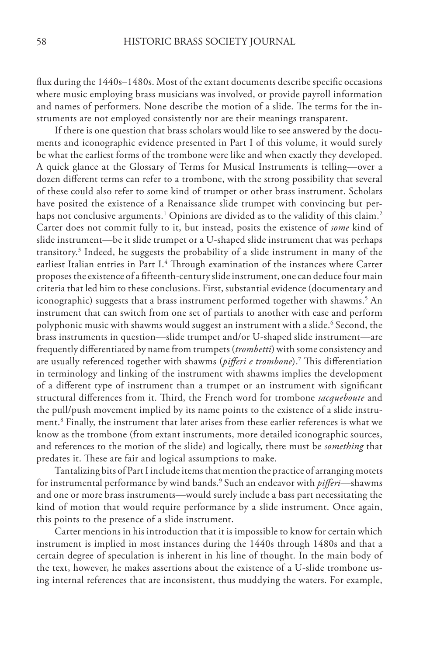flux during the 1440s–1480s. Most of the extant documents describe specific occasions where music employing brass musicians was involved, or provide payroll information and names of performers. None describe the motion of a slide. The terms for the instruments are not employed consistently nor are their meanings transparent.

If there is one question that brass scholars would like to see answered by the documents and iconographic evidence presented in Part I of this volume, it would surely be what the earliest forms of the trombone were like and when exactly they developed. A quick glance at the Glossary of Terms for Musical Instruments is telling—over a dozen different terms can refer to a trombone, with the strong possibility that several of these could also refer to some kind of trumpet or other brass instrument. Scholars have posited the existence of a Renaissance slide trumpet with convincing but perhaps not conclusive arguments. $^{\rm 1}$  Opinions are divided as to the validity of this claim. $^{\rm 2}$ Carter does not commit fully to it, but instead, posits the existence of *some* kind of slide instrument—be it slide trumpet or a U-shaped slide instrument that was perhaps transitory.<sup>3</sup> Indeed, he suggests the probability of a slide instrument in many of the earliest Italian entries in Part I.<sup>4</sup> Through examination of the instances where Carter proposes the existence of a fifteenth-century slide instrument, one can deduce four main criteria that led him to these conclusions. First, substantial evidence (documentary and iconographic) suggests that a brass instrument performed together with shawms.<sup>5</sup> An instrument that can switch from one set of partials to another with ease and perform polyphonic music with shawms would suggest an instrument with a slide.<sup>6</sup> Second, the brass instruments in question—slide trumpet and/or U-shaped slide instrument—are frequently differentiated by name from trumpets (*trombetti*) with some consistency and are usually referenced together with shawms (*pifferi e trombone*).7 This differentiation in terminology and linking of the instrument with shawms implies the development of a different type of instrument than a trumpet or an instrument with significant structural differences from it. Third, the French word for trombone *sacqueboute* and the pull/push movement implied by its name points to the existence of a slide instrument.8 Finally, the instrument that later arises from these earlier references is what we know as the trombone (from extant instruments, more detailed iconographic sources, and references to the motion of the slide) and logically, there must be *something* that predates it. These are fair and logical assumptions to make.

Tantalizing bits of Part I include items that mention the practice of arranging motets for instrumental performance by wind bands.9 Such an endeavor with *pifferi*—shawms and one or more brass instruments—would surely include a bass part necessitating the kind of motion that would require performance by a slide instrument. Once again, this points to the presence of a slide instrument.

Carter mentions in his introduction that it is impossible to know for certain which instrument is implied in most instances during the 1440s through 1480s and that a certain degree of speculation is inherent in his line of thought. In the main body of the text, however, he makes assertions about the existence of a U-slide trombone using internal references that are inconsistent, thus muddying the waters. For example,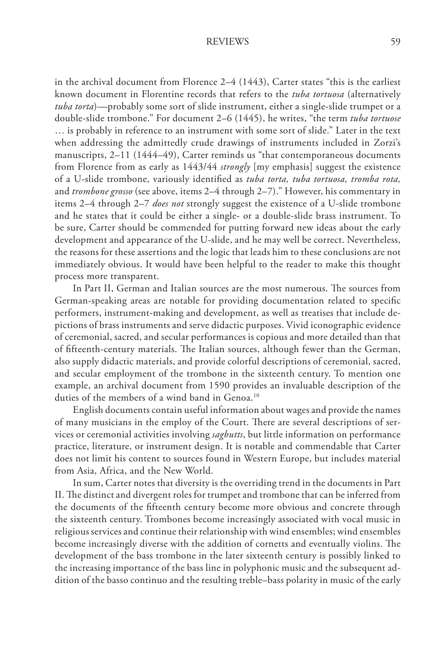in the archival document from Florence 2–4 (1443), Carter states "this is the earliest known document in Florentine records that refers to the *tuba tortuosa* (alternatively *tuba torta*)*—*probably some sort of slide instrument, either a single-slide trumpet or a double-slide trombone." For document 2–6 (1445), he writes, "the term *tuba tortuose*  … is probably in reference to an instrument with some sort of slide." Later in the text when addressing the admittedly crude drawings of instruments included in Zorzi's manuscripts, 2-11 (1444-49), Carter reminds us "that contemporaneous documents from Florence from as early as 1443/44 *strongly* [my emphasis] suggest the existence of a U-slide trombone, variously identified as *tuba torta, tuba tortuosa, tromba rota,*  and *trombone grosso* (see above, items 2–4 through 2–7)." However, his commentary in items 2–4 through 2–7 *does not* strongly suggest the existence of a U-slide trombone and he states that it could be either a single- or a double-slide brass instrument. To be sure, Carter should be commended for putting forward new ideas about the early development and appearance of the U-slide, and he may well be correct. Nevertheless, the reasons for these assertions and the logic that leads him to these conclusions are not immediately obvious. It would have been helpful to the reader to make this thought process more transparent.

In Part II, German and Italian sources are the most numerous. The sources from German-speaking areas are notable for providing documentation related to specific performers, instrument-making and development, as well as treatises that include depictions of brass instruments and serve didactic purposes. Vivid iconographic evidence of ceremonial, sacred, and secular performances is copious and more detailed than that of fifteenth-century materials. The Italian sources, although fewer than the German, also supply didactic materials, and provide colorful descriptions of ceremonial, sacred, and secular employment of the trombone in the sixteenth century. To mention one example, an archival document from 1590 provides an invaluable description of the duties of the members of a wind band in Genoa.<sup>10</sup>

English documents contain useful information about wages and provide the names of many musicians in the employ of the Court. There are several descriptions of services or ceremonial activities involving *sagbutts*, but little information on performance practice, literature, or instrument design. It is notable and commendable that Carter does not limit his content to sources found in Western Europe, but includes material from Asia, Africa, and the New World.

In sum, Carter notes that diversity is the overriding trend in the documents in Part II. The distinct and divergent roles for trumpet and trombone that can be inferred from the documents of the fifteenth century become more obvious and concrete through the sixteenth century. Trombones become increasingly associated with vocal music in religious services and continue their relationship with wind ensembles; wind ensembles become increasingly diverse with the addition of cornetts and eventually violins. The development of the bass trombone in the later sixteenth century is possibly linked to the increasing importance of the bass line in polyphonic music and the subsequent addition of the basso continuo and the resulting treble–bass polarity in music of the early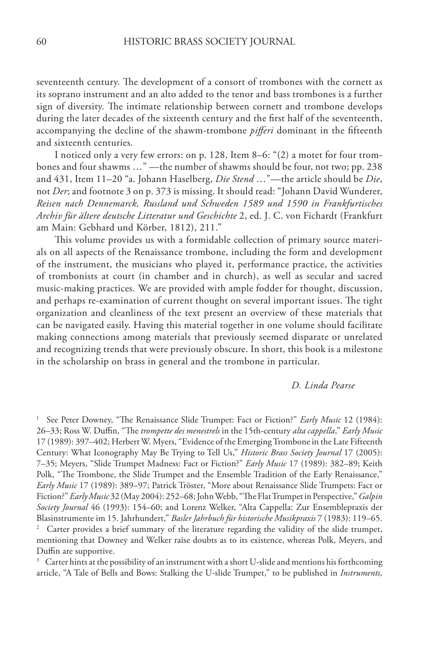seventeenth century. The development of a consort of trombones with the cornett as its soprano instrument and an alto added to the tenor and bass trombones is a further sign of diversity. The intimate relationship between cornett and trombone develops during the later decades of the sixteenth century and the first half of the seventeenth, accompanying the decline of the shawm-trombone *pifferi* dominant in the fifteenth and sixteenth centuries.

I noticed only a very few errors: on p. 128, Item 8–6: "(2) a motet for four trombones and four shawms …" —the number of shawms should be four, not two; pp. 238 and 431, Item 11–20 "a. Johann Haselberg, *Die Stend* …"—the article should be *Die*, not *Der*; and footnote 3 on p. 373 is missing. It should read: "Johann David Wunderer, *Reisen nach Dennemarck, Russland und Schweden 1589 und 1590 in Frankfurtisches Archiv für ältere deutsche Litteratur und Geschichte* 2, ed. J. C. von Fichardt (Frankfurt am Main: Gebhard und Körber, 1812), 211."

This volume provides us with a formidable collection of primary source materials on all aspects of the Renaissance trombone, including the form and development of the instrument, the musicians who played it, performance practice, the activities of trombonists at court (in chamber and in church), as well as secular and sacred music-making practices. We are provided with ample fodder for thought, discussion, and perhaps re-examination of current thought on several important issues. The tight organization and cleanliness of the text present an overview of these materials that can be navigated easily. Having this material together in one volume should facilitate making connections among materials that previously seemed disparate or unrelated and recognizing trends that were previously obscure. In short, this book is a milestone in the scholarship on brass in general and the trombone in particular.

#### *D. Linda Pearse*

<sup>1</sup> See Peter Downey, "The Renaissance Slide Trumpet: Fact or Fiction?" *Early Music* 12 (1984): 26–33; Ross W. Duffin, "The *trompette des menestrels* in the 15th-century *alta cappella*," *Early Music*  17 (1989): 397–402; Herbert W. Myers, "Evidence of the Emerging Trombone in the Late Fifteenth Century: What Iconography May Be Trying to Tell Us," *Historic Brass Society Journal* 17 (2005): 7–35; Meyers, "Slide Trumpet Madness: Fact or Fiction?" *Early Music* 17 (1989): 382–89; Keith Polk, "The Trombone, the Slide Trumpet and the Ensemble Tradition of the Early Renaissance," *Early Music* 17 (1989): 389–97; Patrick Tröster, "More about Renaissance Slide Trumpets: Fact or Fiction?" *Early Music* 32 (May 2004): 252–68; John Webb, "The Flat Trumpet in Perspective," *Galpin Society Journal* 46 (1993): 154–60; and Lorenz Welker, "Alta Cappella: Zur Ensemblepraxis der Blasinstrumente im 15. Jahrhundert," *Basler Jahrbuch für historische Musikpraxis* 7 (1983): 119–65. <sup>2</sup> Carter provides a brief summary of the literature regarding the validity of the slide trumpet, mentioning that Downey and Welker raise doubts as to its existence, whereas Polk, Meyers, and Duffin are supportive.

 $3$  Carter hints at the possibility of an instrument with a short U-slide and mentions his forthcoming article, "A Tale of Bells and Bows: Stalking the U-slide Trumpet," to be published in *Instruments,*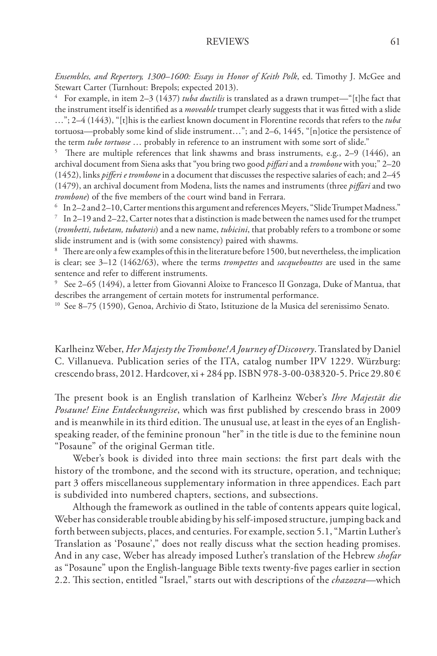*Ensembles, and Repertory, 1300–1600: Essays in Honor of Keith Polk*, ed. Timothy J. McGee and Stewart Carter (Turnhout: Brepols; expected 2013).

4 For example, in item 2–3 (1437) *tuba ductilis* is translated as a drawn trumpet—"[t]he fact that the instrument itself is identified as a *moveable* trumpet clearly suggests that it was fitted with a slide …"; 2–4 (1443), "[t]his is the earliest known document in Florentine records that refers to the *tuba*  tortuosa—probably some kind of slide instrument…"; and 2–6, 1445, "[n]otice the persistence of the term *tube tortuose* … probably in reference to an instrument with some sort of slide."

5 There are multiple references that link shawms and brass instruments, e.g., 2–9 (1446), an archival document from Siena asks that "you bring two good *piffari* and a *trombone* with you;" 2–20 (1452), links *pifferi e trombone* in a document that discusses the respective salaries of each; and 2–45 (1479), an archival document from Modena, lists the names and instruments (three *piffari* and two *trombone*) of the five members of the court wind band in Ferrara.<br><sup>6</sup> In 2–2 and 2–10, Carter mentions this argument and references Meyers, "Slide Trumpet Madness."<br><sup>7</sup> In 2–19 and 2–22, Carter notes that a distinction is

(*trombetti, tubetam, tubatoris*) and a new name, *tubicini*, that probably refers to a trombone or some slide instrument and is (with some consistency) paired with shawms.

<sup>8</sup> There are only a few examples of this in the literature before 1500, but nevertheless, the implication is clear; see 3–12 (1462/63), where the terms *trompettes* and *sacquebouttes* are used in the same sentence and refer to different instruments.

9 See 2–65 (1494), a letter from Giovanni Aloixe to Francesco II Gonzaga, Duke of Mantua, that describes the arrangement of certain motets for instrumental performance.

10 See 8–75 (1590), Genoa, Archivio di Stato, Istituzione de la Musica del serenissimo Senato.

Karlheinz Weber, *Her Majesty the Trombone! A Journey of Discovery*. Translated by Daniel C. Villanueva. Publication series of the ITA, catalog number IPV 1229. Würzburg: crescendo brass, 2012. Hardcover, xi + 284 pp. ISBN 978-3-00-038320-5. Price 29.80 €

The present book is an English translation of Karlheinz Weber's *Ihre Majestät die Posaune! Eine Entdeckungsreise*, which was first published by crescendo brass in 2009 and is meanwhile in its third edition. The unusual use, at least in the eyes of an Englishspeaking reader, of the feminine pronoun "her" in the title is due to the feminine noun "Posaune" of the original German title.

Weber's book is divided into three main sections: the first part deals with the history of the trombone, and the second with its structure, operation, and technique; part 3 offers miscellaneous supplementary information in three appendices. Each part is subdivided into numbered chapters, sections, and subsections.

Although the framework as outlined in the table of contents appears quite logical, Weber has considerable trouble abiding by his self-imposed structure, jumping back and forth between subjects, places, and centuries. For example, section 5.1, "Martin Luther's Translation as 'Posaune'," does not really discuss what the section heading promises. And in any case, Weber has already imposed Luther's translation of the Hebrew *shofar* as "Posaune" upon the English-language Bible texts twenty-five pages earlier in section 2.2. This section, entitled "Israel," starts out with descriptions of the *chazozra*—which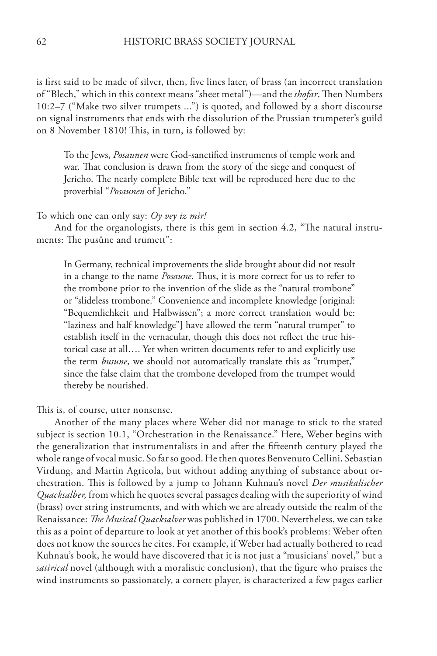is first said to be made of silver, then, five lines later, of brass (an incorrect translation of "Blech," which in this context means "sheet metal")—and the *shofar*. Then Numbers 10:2–7 ("Make two silver trumpets ...") is quoted, and followed by a short discourse on signal instruments that ends with the dissolution of the Prussian trumpeter's guild on 8 November 1810! This, in turn, is followed by:

To the Jews, *Posaunen* were God-sanctified instruments of temple work and war. That conclusion is drawn from the story of the siege and conquest of Jericho. The nearly complete Bible text will be reproduced here due to the proverbial "*Posaunen* of Jericho."

#### To which one can only say: *Oy vey iz mir!*

And for the organologists, there is this gem in section 4.2, "The natural instruments: The pusûne and trumett":

In Germany, technical improvements the slide brought about did not result in a change to the name *Posaune*. Thus, it is more correct for us to refer to the trombone prior to the invention of the slide as the "natural trombone" or "slideless trombone." Convenience and incomplete knowledge [original: "Bequemlichkeit und Halbwissen"; a more correct translation would be: "laziness and half knowledge"] have allowed the term "natural trumpet" to establish itself in the vernacular, though this does not reflect the true historical case at all…. Yet when written documents refer to and explicitly use the term *busune*, we should not automatically translate this as "trumpet," since the false claim that the trombone developed from the trumpet would thereby be nourished.

This is, of course, utter nonsense.

Another of the many places where Weber did not manage to stick to the stated subject is section 10.1, "Orchestration in the Renaissance." Here, Weber begins with the generalization that instrumentalists in and after the fifteenth century played the whole range of vocal music. So far so good. He then quotes Benvenuto Cellini, Sebastian Virdung, and Martin Agricola, but without adding anything of substance about orchestration. This is followed by a jump to Johann Kuhnau's novel *Der musikalischer Quacksalber,* from which he quotes several passages dealing with the superiority of wind (brass) over string instruments, and with which we are already outside the realm of the Renaissance: *The Musical Quacksalver* was published in 1700. Nevertheless, we can take this as a point of departure to look at yet another of this book's problems: Weber often does not know the sources he cites. For example, if Weber had actually bothered to read Kuhnau's book, he would have discovered that it is not just a "musicians' novel," but a satirical novel (although with a moralistic conclusion), that the figure who praises the wind instruments so passionately, a cornett player, is characterized a few pages earlier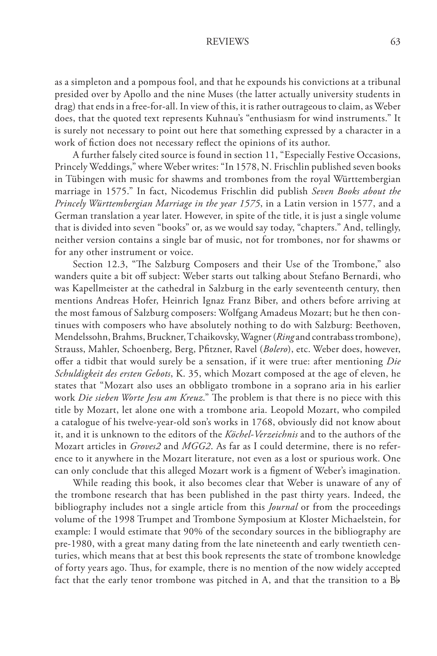as a simpleton and a pompous fool, and that he expounds his convictions at a tribunal presided over by Apollo and the nine Muses (the latter actually university students in drag) that ends in a free-for-all. In view of this, it is rather outrageous to claim, as Weber does, that the quoted text represents Kuhnau's "enthusiasm for wind instruments." It is surely not necessary to point out here that something expressed by a character in a work of fiction does not necessary reflect the opinions of its author.

A further falsely cited source is found in section 11, "Especially Festive Occasions, Princely Weddings," where Weber writes: "In 1578, N. Frischlin published seven books in Tübingen with music for shawms and trombones from the royal Württembergian marriage in 1575." In fact, Nicodemus Frischlin did publish *Seven Books about the Princely Württembergian Marriage in the year 1575*, in a Latin version in 1577, and a German translation a year later. However, in spite of the title, it is just a single volume that is divided into seven "books" or, as we would say today, "chapters." And, tellingly, neither version contains a single bar of music, not for trombones, nor for shawms or for any other instrument or voice.

Section 12.3, "The Salzburg Composers and their Use of the Trombone," also wanders quite a bit off subject: Weber starts out talking about Stefano Bernardi, who was Kapellmeister at the cathedral in Salzburg in the early seventeenth century, then mentions Andreas Hofer, Heinrich Ignaz Franz Biber, and others before arriving at the most famous of Salzburg composers: Wolfgang Amadeus Mozart; but he then continues with composers who have absolutely nothing to do with Salzburg: Beethoven, Mendelssohn, Brahms, Bruckner, Tchaikovsky, Wagner (*Ring* and contrabass trombone), Strauss, Mahler, Schoenberg, Berg, Pfitzner, Ravel (*Bolero*), etc. Weber does, however, offer a tidbit that would surely be a sensation, if it were true: after mentioning *Die Schuldigkeit des ersten Gebots*, K. 35, which Mozart composed at the age of eleven, he states that "Mozart also uses an obbligato trombone in a soprano aria in his earlier work *Die sieben Worte Jesu am Kreuz*." The problem is that there is no piece with this title by Mozart, let alone one with a trombone aria. Leopold Mozart, who compiled a catalogue of his twelve-year-old son's works in 1768, obviously did not know about it, and it is unknown to the editors of the *Köchel-Verzeichnis* and to the authors of the Mozart articles in *Groves2* and *MGG2*. As far as I could determine, there is no reference to it anywhere in the Mozart literature, not even as a lost or spurious work. One can only conclude that this alleged Mozart work is a figment of Weber's imagination.

While reading this book, it also becomes clear that Weber is unaware of any of the trombone research that has been published in the past thirty years. Indeed, the bibliography includes not a single article from this *Journal* or from the proceedings volume of the 1998 Trumpet and Trombone Symposium at Kloster Michaelstein, for example: I would estimate that 90% of the secondary sources in the bibliography are pre-1980, with a great many dating from the late nineteenth and early twentieth centuries, which means that at best this book represents the state of trombone knowledge of forty years ago. Thus, for example, there is no mention of the now widely accepted fact that the early tenor trombone was pitched in A, and that the transition to a  $B\flat$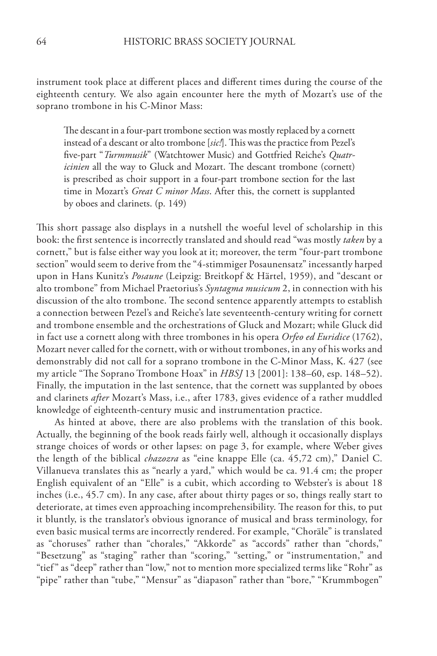instrument took place at different places and different times during the course of the eighteenth century. We also again encounter here the myth of Mozart's use of the soprano trombone in his C-Minor Mass:

The descant in a four-part trombone section was mostly replaced by a cornett instead of a descant or alto trombone [*sic!*]. This was the practice from Pezel's five-part "*Turmmusik*" (Watchtower Music) and Gottfried Reiche's *Quatricinien* all the way to Gluck and Mozart. The descant trombone (cornett) is prescribed as choir support in a four-part trombone section for the last time in Mozart's *Great C minor Mass*. After this, the cornett is supplanted by oboes and clarinets. (p. 149)

This short passage also displays in a nutshell the woeful level of scholarship in this book: the first sentence is incorrectly translated and should read "was mostly *taken* by a cornett," but is false either way you look at it; moreover, the term "four-part trombone section" would seem to derive from the "4-stimmiger Posaunensatz" incessantly harped upon in Hans Kunitz's *Posaune* (Leipzig: Breitkopf & Härtel, 1959), and "descant or alto trombone" from Michael Praetorius's *Syntagma musicum* 2, in connection with his discussion of the alto trombone. The second sentence apparently attempts to establish a connection between Pezel's and Reiche's late seventeenth-century writing for cornett and trombone ensemble and the orchestrations of Gluck and Mozart; while Gluck did in fact use a cornett along with three trombones in his opera *Orfeo ed Euridice* (1762), Mozart never called for the cornett, with or without trombones, in any of his works and demonstrably did not call for a soprano trombone in the C-Minor Mass, K. 427 (see my article "The Soprano Trombone Hoax" in *HBSJ* 13 [2001]: 138–60, esp. 148–52). Finally, the imputation in the last sentence, that the cornett was supplanted by oboes and clarinets *after* Mozart's Mass, i.e., after 1783, gives evidence of a rather muddled knowledge of eighteenth-century music and instrumentation practice.

As hinted at above, there are also problems with the translation of this book. Actually, the beginning of the book reads fairly well, although it occasionally displays strange choices of words or other lapses: on page 3, for example, where Weber gives the length of the biblical *chazozra* as "eine knappe Elle (ca. 45,72 cm)," Daniel C. Villanueva translates this as "nearly a yard," which would be ca. 91.4 cm; the proper English equivalent of an "Elle" is a cubit, which according to Webster's is about 18 inches (i.e., 45.7 cm). In any case, after about thirty pages or so, things really start to deteriorate, at times even approaching incomprehensibility. The reason for this, to put it bluntly, is the translator's obvious ignorance of musical and brass terminology, for even basic musical terms are incorrectly rendered. For example, "Choräle" is translated as "choruses" rather than "chorales," "Akkorde" as "accords" rather than "chords," "Besetzung" as "staging" rather than "scoring," "setting," or "instrumentation," and "tief " as "deep" rather than "low," not to mention more specialized terms like "Rohr" as "pipe" rather than "tube," "Mensur" as "diapason" rather than "bore," "Krummbogen"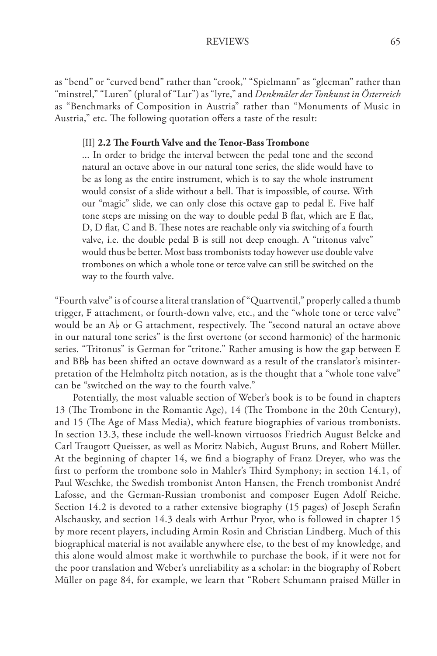as "bend" or "curved bend" rather than "crook," "Spielmann" as "gleeman" rather than "minstrel," "Luren" (plural of "Lur") as "lyre," and *Denkmäler der Tonkunst in Österreich* as "Benchmarks of Composition in Austria" rather than "Monuments of Music in Austria," etc. The following quotation offers a taste of the result:

### [II] **2.2 The Fourth Valve and the Tenor-Bass Trombone**

... In order to bridge the interval between the pedal tone and the second natural an octave above in our natural tone series, the slide would have to be as long as the entire instrument, which is to say the whole instrument would consist of a slide without a bell. That is impossible, of course. With our "magic" slide, we can only close this octave gap to pedal E. Five half tone steps are missing on the way to double pedal B flat, which are E flat, D, D flat, C and B. These notes are reachable only via switching of a fourth valve, i.e. the double pedal B is still not deep enough. A "tritonus valve" would thus be better. Most bass trombonists today however use double valve trombones on which a whole tone or terce valve can still be switched on the way to the fourth valve.

"Fourth valve" is of course a literal translation of "Quartventil," properly called a thumb trigger, F attachment, or fourth-down valve, etc., and the "whole tone or terce valve" would be an  $\mathcal{A}_{\mathcal{P}}$  or G attachment, respectively. The "second natural an octave above in our natural tone series" is the first overtone (or second harmonic) of the harmonic series. "Tritonus" is German for "tritone." Rather amusing is how the gap between E and  $BBb$  has been shifted an octave downward as a result of the translator's misinterpretation of the Helmholtz pitch notation, as is the thought that a "whole tone valve" can be "switched on the way to the fourth valve."

Potentially, the most valuable section of Weber's book is to be found in chapters 13 (The Trombone in the Romantic Age), 14 (The Trombone in the 20th Century), and 15 (The Age of Mass Media), which feature biographies of various trombonists. In section 13.3, these include the well-known virtuosos Friedrich August Belcke and Carl Traugott Queisser, as well as Moritz Nabich, August Bruns, and Robert Müller. At the beginning of chapter 14, we find a biography of Franz Dreyer, who was the first to perform the trombone solo in Mahler's Third Symphony; in section 14.1, of Paul Weschke, the Swedish trombonist Anton Hansen, the French trombonist André Lafosse, and the German-Russian trombonist and composer Eugen Adolf Reiche. Section 14.2 is devoted to a rather extensive biography (15 pages) of Joseph Serafin Alschausky, and section 14.3 deals with Arthur Pryor, who is followed in chapter 15 by more recent players, including Armin Rosin and Christian Lindberg. Much of this biographical material is not available anywhere else, to the best of my knowledge, and this alone would almost make it worthwhile to purchase the book, if it were not for the poor translation and Weber's unreliability as a scholar: in the biography of Robert Müller on page 84, for example, we learn that "Robert Schumann praised Müller in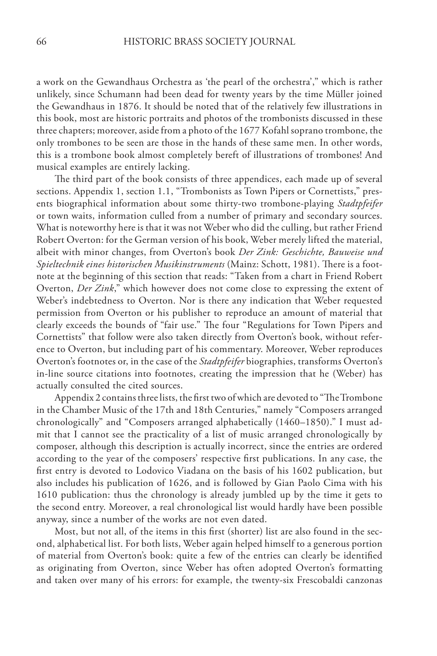a work on the Gewandhaus Orchestra as 'the pearl of the orchestra'," which is rather unlikely, since Schumann had been dead for twenty years by the time Müller joined the Gewandhaus in 1876. It should be noted that of the relatively few illustrations in this book, most are historic portraits and photos of the trombonists discussed in these three chapters; moreover, aside from a photo of the 1677 Kofahl soprano trombone, the only trombones to be seen are those in the hands of these same men. In other words, this is a trombone book almost completely bereft of illustrations of trombones! And musical examples are entirely lacking.

The third part of the book consists of three appendices, each made up of several sections. Appendix 1, section 1.1, "Trombonists as Town Pipers or Cornettists," presents biographical information about some thirty-two trombone-playing *Stadtpfeifer* or town waits, information culled from a number of primary and secondary sources. What is noteworthy here is that it was not Weber who did the culling, but rather Friend Robert Overton: for the German version of his book, Weber merely lifted the material, albeit with minor changes, from Overton's book *Der Zink: Geschichte, Bauweise und Spieltechnik eines historischen Musikinstruments* (Mainz: Schott, 1981). There is a footnote at the beginning of this section that reads: "Taken from a chart in Friend Robert Overton, *Der Zink*," which however does not come close to expressing the extent of Weber's indebtedness to Overton. Nor is there any indication that Weber requested permission from Overton or his publisher to reproduce an amount of material that clearly exceeds the bounds of "fair use." The four "Regulations for Town Pipers and Cornettists" that follow were also taken directly from Overton's book, without reference to Overton, but including part of his commentary. Moreover, Weber reproduces Overton's footnotes or, in the case of the *Stadtpfeifer* biographies, transforms Overton's in-line source citations into footnotes, creating the impression that he (Weber) has actually consulted the cited sources.

Appendix 2 contains three lists, the first two of which are devoted to "The Trombone in the Chamber Music of the 17th and 18th Centuries," namely "Composers arranged chronologically" and "Composers arranged alphabetically (1460–1850)." I must admit that I cannot see the practicality of a list of music arranged chronologically by composer, although this description is actually incorrect, since the entries are ordered according to the year of the composers' respective first publications. In any case, the first entry is devoted to Lodovico Viadana on the basis of his 1602 publication, but also includes his publication of 1626, and is followed by Gian Paolo Cima with his 1610 publication: thus the chronology is already jumbled up by the time it gets to the second entry. Moreover, a real chronological list would hardly have been possible anyway, since a number of the works are not even dated.

Most, but not all, of the items in this first (shorter) list are also found in the second, alphabetical list. For both lists, Weber again helped himself to a generous portion of material from Overton's book: quite a few of the entries can clearly be identified as originating from Overton, since Weber has often adopted Overton's formatting and taken over many of his errors: for example, the twenty-six Frescobaldi canzonas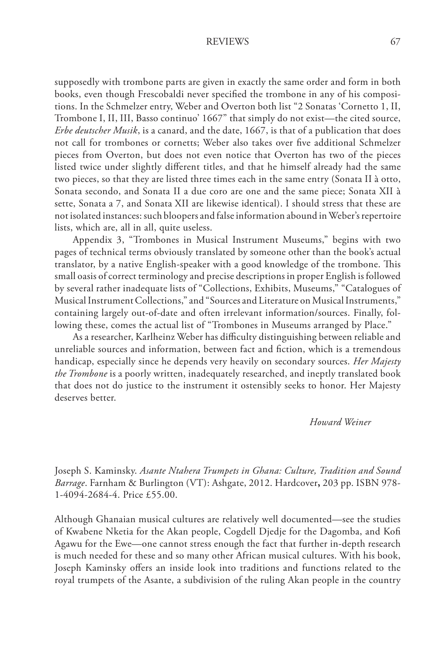supposedly with trombone parts are given in exactly the same order and form in both books, even though Frescobaldi never specified the trombone in any of his compositions. In the Schmelzer entry, Weber and Overton both list "2 Sonatas 'Cornetto 1, II, Trombone I, II, III, Basso continuo' 1667" that simply do not exist—the cited source, *Erbe deutscher Musik*, is a canard, and the date, 1667, is that of a publication that does not call for trombones or cornetts; Weber also takes over five additional Schmelzer pieces from Overton, but does not even notice that Overton has two of the pieces listed twice under slightly different titles, and that he himself already had the same two pieces, so that they are listed three times each in the same entry (Sonata II à otto, Sonata secondo, and Sonata II a due coro are one and the same piece; Sonata XII à sette, Sonata a 7, and Sonata XII are likewise identical). I should stress that these are not isolated instances: such bloopers and false information abound in Weber's repertoire lists, which are, all in all, quite useless.

Appendix 3, "Trombones in Musical Instrument Museums," begins with two pages of technical terms obviously translated by someone other than the book's actual translator, by a native English-speaker with a good knowledge of the trombone. This small oasis of correct terminology and precise descriptions in proper English is followed by several rather inadequate lists of "Collections, Exhibits, Museums," "Catalogues of Musical Instrument Collections," and "Sources and Literature on Musical Instruments," containing largely out-of-date and often irrelevant information/sources. Finally, following these, comes the actual list of "Trombones in Museums arranged by Place."

As a researcher, Karlheinz Weber has difficulty distinguishing between reliable and unreliable sources and information, between fact and fiction, which is a tremendous handicap, especially since he depends very heavily on secondary sources. *Her Majesty the Trombone* is a poorly written, inadequately researched, and ineptly translated book that does not do justice to the instrument it ostensibly seeks to honor. Her Majesty deserves better.

*Howard Weiner*

Joseph S. Kaminsky. *Asante Ntahera Trumpets in Ghana: Culture, Tradition and Sound Barrage*. Farnham & Burlington (VT): Ashgate, 2012. Hardcover**,** 203 pp. ISBN 978- 1-4094-2684-4. Price £55.00.

Although Ghanaian musical cultures are relatively well documented—see the studies of Kwabene Nketia for the Akan people, Cogdell Djedje for the Dagomba, and Kofi Agawu for the Ewe—one cannot stress enough the fact that further in-depth research is much needed for these and so many other African musical cultures. With his book, Joseph Kaminsky offers an inside look into traditions and functions related to the royal trumpets of the Asante, a subdivision of the ruling Akan people in the country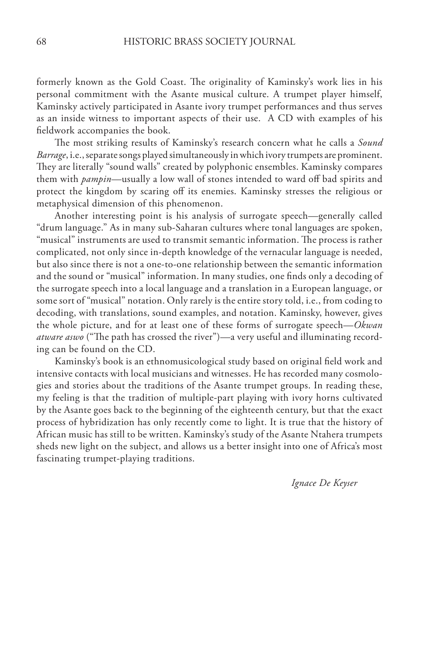formerly known as the Gold Coast. The originality of Kaminsky's work lies in his personal commitment with the Asante musical culture. A trumpet player himself, Kaminsky actively participated in Asante ivory trumpet performances and thus serves as an inside witness to important aspects of their use. A CD with examples of his fieldwork accompanies the book.

The most striking results of Kaminsky's research concern what he calls a *Sound Barrage*, i.e., separate songs played simultaneously in which ivory trumpets are prominent. They are literally "sound walls" created by polyphonic ensembles. Kaminsky compares them with *pampin*—usually a low wall of stones intended to ward off bad spirits and protect the kingdom by scaring off its enemies. Kaminsky stresses the religious or metaphysical dimension of this phenomenon.

Another interesting point is his analysis of surrogate speech—generally called "drum language." As in many sub-Saharan cultures where tonal languages are spoken, "musical" instruments are used to transmit semantic information. The process is rather complicated, not only since in-depth knowledge of the vernacular language is needed, but also since there is not a one-to-one relationship between the semantic information and the sound or "musical" information. In many studies, one finds only a decoding of the surrogate speech into a local language and a translation in a European language, or some sort of "musical" notation. Only rarely is the entire story told, i.e., from coding to decoding, with translations, sound examples, and notation. Kaminsky, however, gives the whole picture, and for at least one of these forms of surrogate speech—*Okwan atware aswo* ("The path has crossed the river")—a very useful and illuminating recording can be found on the CD.

Kaminsky's book is an ethnomusicological study based on original field work and intensive contacts with local musicians and witnesses. He has recorded many cosmologies and stories about the traditions of the Asante trumpet groups. In reading these, my feeling is that the tradition of multiple-part playing with ivory horns cultivated by the Asante goes back to the beginning of the eighteenth century, but that the exact process of hybridization has only recently come to light. It is true that the history of African music has still to be written. Kaminsky's study of the Asante Ntahera trumpets sheds new light on the subject, and allows us a better insight into one of Africa's most fascinating trumpet-playing traditions.

*Ignace De Keyser*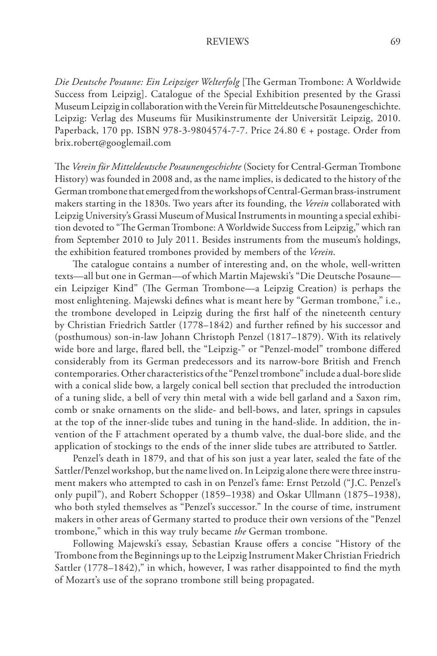*Die Deutsche Posaune: Ein Leipziger Welterfolg* [The German Trombone: A Worldwide Success from Leipzig]. Catalogue of the Special Exhibition presented by the Grassi Museum Leipzig in collaboration with the Verein für Mitteldeutsche Posaunengeschichte. Leipzig: Verlag des Museums für Musikinstrumente der Universität Leipzig, 2010. Paperback, 170 pp. ISBN 978-3-9804574-7-7. Price 24.80  $\epsilon$  + postage. Order from brix.robert@googlemail.com

The *Verein für Mitteldeutsche Posaunengeschichte* (Society for Central-German Trombone History) was founded in 2008 and, as the name implies, is dedicated to the history of the German trombone that emerged from the workshops of Central-German brass-instrument makers starting in the 1830s. Two years after its founding, the *Verein* collaborated with Leipzig University's Grassi Museum of Musical Instruments in mounting a special exhibition devoted to "The German Trombone: A Worldwide Success from Leipzig," which ran from September 2010 to July 2011. Besides instruments from the museum's holdings, the exhibition featured trombones provided by members of the *Verein*.

The catalogue contains a number of interesting and, on the whole, well-written texts—all but one in German—of which Martin Majewski's "Die Deutsche Posaune ein Leipziger Kind" (The German Trombone—a Leipzig Creation) is perhaps the most enlightening. Majewski defines what is meant here by "German trombone," i.e., the trombone developed in Leipzig during the first half of the nineteenth century by Christian Friedrich Sattler (1778–1842) and further refined by his successor and (posthumous) son-in-law Johann Christoph Penzel (1817–1879). With its relatively wide bore and large, flared bell, the "Leipzig-" or "Penzel-model" trombone differed considerably from its German predecessors and its narrow-bore British and French contemporaries. Other characteristics of the "Penzel trombone" include a dual-bore slide with a conical slide bow, a largely conical bell section that precluded the introduction of a tuning slide, a bell of very thin metal with a wide bell garland and a Saxon rim, comb or snake ornaments on the slide- and bell-bows, and later, springs in capsules at the top of the inner-slide tubes and tuning in the hand-slide. In addition, the invention of the F attachment operated by a thumb valve, the dual-bore slide, and the application of stockings to the ends of the inner slide tubes are attributed to Sattler.

Penzel's death in 1879, and that of his son just a year later, sealed the fate of the Sattler/Penzel workshop, but the name lived on. In Leipzig alone there were three instrument makers who attempted to cash in on Penzel's fame: Ernst Petzold ("J.C. Penzel's only pupil"), and Robert Schopper (1859–1938) and Oskar Ullmann (1875–1938), who both styled themselves as "Penzel's successor." In the course of time, instrument makers in other areas of Germany started to produce their own versions of the "Penzel trombone," which in this way truly became *the* German trombone.

Following Majewski's essay, Sebastian Krause offers a concise "History of the Trombone from the Beginnings up to the Leipzig Instrument Maker Christian Friedrich Sattler (1778–1842)," in which, however, I was rather disappointed to find the myth of Mozart's use of the soprano trombone still being propagated.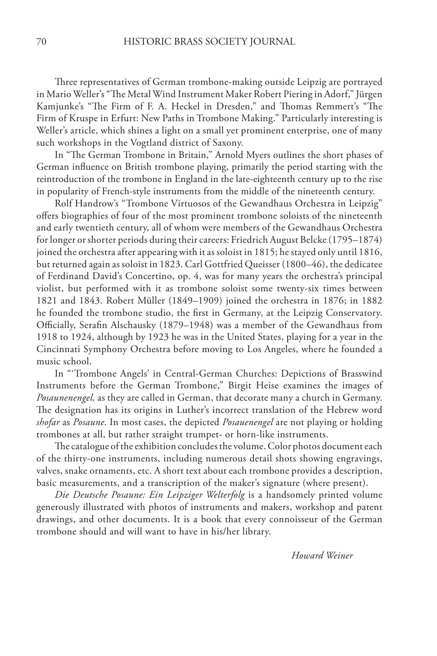Three representatives of German trombone-making outside Leipzig are portrayed in Mario Weller's "The Metal Wind Instrument Maker Robert Piering in Adorf," Jürgen Kamjunke's "The Firm of F. A. Heckel in Dresden," and Thomas Remmert's "The Firm of Kruspe in Erfurt: New Paths in Trombone Making." Particularly interesting is Weller's article, which shines a light on a small yet prominent enterprise, one of many such workshops in the Vogtland district of Saxony.

In "The German Trombone in Britain," Arnold Myers outlines the short phases of German influence on British trombone playing, primarily the period starting with the reintroduction of the trombone in England in the late-eighteenth century up to the rise in popularity of French-style instruments from the middle of the nineteenth century.

Rolf Handrow's "Trombone Virtuosos of the Gewandhaus Orchestra in Leipzig" offers biographies of four of the most prominent trombone soloists of the nineteenth and early twentieth century, all of whom were members of the Gewandhaus Orchestra for longer or shorter periods during their careers: Friedrich August Belcke (1795–1874) joined the orchestra after appearing with it as soloist in 1815; he stayed only until 1816, but returned again as soloist in 1823. Carl Gottfried Queisser (1800–46), the dedicatee of Ferdinand David's Concertino, op. 4, was for many years the orchestra's principal violist, but performed with it as trombone soloist some twenty-six times between 1821 and 1843. Robert Müller (1849–1909) joined the orchestra in 1876; in 1882 he founded the trombone studio, the first in Germany, at the Leipzig Conservatory. Officially, Serafin Alschausky (1879–1948) was a member of the Gewandhaus from 1918 to 1924, although by 1923 he was in the United States, playing for a year in the Cincinnati Symphony Orchestra before moving to Los Angeles, where he founded a music school.

In "'Trombone Angels' in Central-German Churches: Depictions of Brasswind Instruments before the German Trombone," Birgit Heise examines the images of *Posaunenengel,* as they are called in German, that decorate many a church in Germany. The designation has its origins in Luther's incorrect translation of the Hebrew word *shofar* as *Posaune*. In most cases, the depicted *Posauenengel* are not playing or holding trombones at all, but rather straight trumpet- or horn-like instruments.

The catalogue of the exhibition concludes the volume. Color photos document each of the thirty-one instruments, including numerous detail shots showing engravings, valves, snake ornaments, etc. A short text about each trombone provides a description, basic measurements, and a transcription of the maker's signature (where present).

*Die Deutsche Posaune: Ein Leipziger Welterfolg* is a handsomely printed volume generously illustrated with photos of instruments and makers, workshop and patent drawings, and other documents. It is a book that every connoisseur of the German trombone should and will want to have in his/her library.

*Howard Weiner*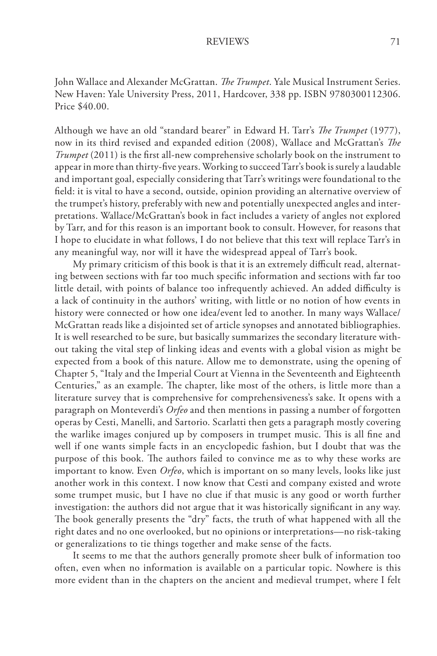John Wallace and Alexander McGrattan. *The Trumpet*. Yale Musical Instrument Series. New Haven: Yale University Press, 2011, Hardcover, 338 pp. ISBN 9780300112306. Price \$40.00.

Although we have an old "standard bearer" in Edward H. Tarr's *The Trumpet* (1977), now in its third revised and expanded edition (2008), Wallace and McGrattan's *The Trumpet* (2011) is the first all-new comprehensive scholarly book on the instrument to appear in more than thirty-five years. Working to succeed Tarr's book is surely a laudable and important goal, especially considering that Tarr's writings were foundational to the field: it is vital to have a second, outside, opinion providing an alternative overview of the trumpet's history, preferably with new and potentially unexpected angles and interpretations. Wallace/McGrattan's book in fact includes a variety of angles not explored by Tarr, and for this reason is an important book to consult. However, for reasons that I hope to elucidate in what follows, I do not believe that this text will replace Tarr's in any meaningful way, nor will it have the widespread appeal of Tarr's book.

My primary criticism of this book is that it is an extremely difficult read, alternating between sections with far too much specific information and sections with far too little detail, with points of balance too infrequently achieved. An added difficulty is a lack of continuity in the authors' writing, with little or no notion of how events in history were connected or how one idea/event led to another. In many ways Wallace/ McGrattan reads like a disjointed set of article synopses and annotated bibliographies. It is well researched to be sure, but basically summarizes the secondary literature without taking the vital step of linking ideas and events with a global vision as might be expected from a book of this nature. Allow me to demonstrate, using the opening of Chapter 5, "Italy and the Imperial Court at Vienna in the Seventeenth and Eighteenth Centuries," as an example. The chapter, like most of the others, is little more than a literature survey that is comprehensive for comprehensiveness's sake. It opens with a paragraph on Monteverdi's *Orfeo* and then mentions in passing a number of forgotten operas by Cesti, Manelli, and Sartorio. Scarlatti then gets a paragraph mostly covering the warlike images conjured up by composers in trumpet music. This is all fine and well if one wants simple facts in an encyclopedic fashion, but I doubt that was the purpose of this book. The authors failed to convince me as to why these works are important to know. Even *Orfeo*, which is important on so many levels, looks like just another work in this context. I now know that Cesti and company existed and wrote some trumpet music, but I have no clue if that music is any good or worth further investigation: the authors did not argue that it was historically significant in any way. The book generally presents the "dry" facts, the truth of what happened with all the right dates and no one overlooked, but no opinions or interpretations—no risk-taking or generalizations to tie things together and make sense of the facts.

It seems to me that the authors generally promote sheer bulk of information too often, even when no information is available on a particular topic. Nowhere is this more evident than in the chapters on the ancient and medieval trumpet, where I felt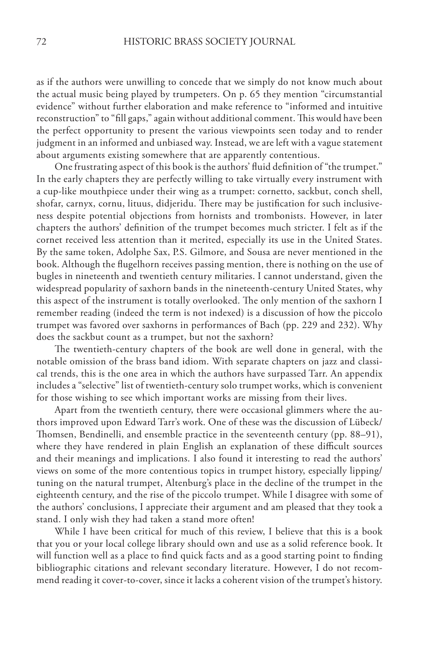as if the authors were unwilling to concede that we simply do not know much about the actual music being played by trumpeters. On p. 65 they mention "circumstantial evidence" without further elaboration and make reference to "informed and intuitive reconstruction" to "fill gaps," again without additional comment. This would have been the perfect opportunity to present the various viewpoints seen today and to render judgment in an informed and unbiased way. Instead, we are left with a vague statement about arguments existing somewhere that are apparently contentious.

One frustrating aspect of this book is the authors' fluid definition of "the trumpet." In the early chapters they are perfectly willing to take virtually every instrument with a cup-like mouthpiece under their wing as a trumpet: cornetto, sackbut, conch shell, shofar, carnyx, cornu, lituus, didjeridu. There may be justification for such inclusiveness despite potential objections from hornists and trombonists. However, in later chapters the authors' definition of the trumpet becomes much stricter. I felt as if the cornet received less attention than it merited, especially its use in the United States. By the same token, Adolphe Sax, P.S. Gilmore, and Sousa are never mentioned in the book. Although the flugelhorn receives passing mention, there is nothing on the use of bugles in nineteenth and twentieth century militaries. I cannot understand, given the widespread popularity of saxhorn bands in the nineteenth-century United States, why this aspect of the instrument is totally overlooked. The only mention of the saxhorn I remember reading (indeed the term is not indexed) is a discussion of how the piccolo trumpet was favored over saxhorns in performances of Bach (pp. 229 and 232). Why does the sackbut count as a trumpet, but not the saxhorn?

The twentieth-century chapters of the book are well done in general, with the notable omission of the brass band idiom. With separate chapters on jazz and classical trends, this is the one area in which the authors have surpassed Tarr. An appendix includes a "selective" list of twentieth-century solo trumpet works, which is convenient for those wishing to see which important works are missing from their lives.

Apart from the twentieth century, there were occasional glimmers where the authors improved upon Edward Tarr's work. One of these was the discussion of Lübeck/ Thomsen, Bendinelli, and ensemble practice in the seventeenth century (pp. 88–91), where they have rendered in plain English an explanation of these difficult sources and their meanings and implications. I also found it interesting to read the authors' views on some of the more contentious topics in trumpet history, especially lipping/ tuning on the natural trumpet, Altenburg's place in the decline of the trumpet in the eighteenth century, and the rise of the piccolo trumpet. While I disagree with some of the authors' conclusions, I appreciate their argument and am pleased that they took a stand. I only wish they had taken a stand more often!

While I have been critical for much of this review, I believe that this is a book that you or your local college library should own and use as a solid reference book. It will function well as a place to find quick facts and as a good starting point to finding bibliographic citations and relevant secondary literature. However, I do not recommend reading it cover-to-cover, since it lacks a coherent vision of the trumpet's history.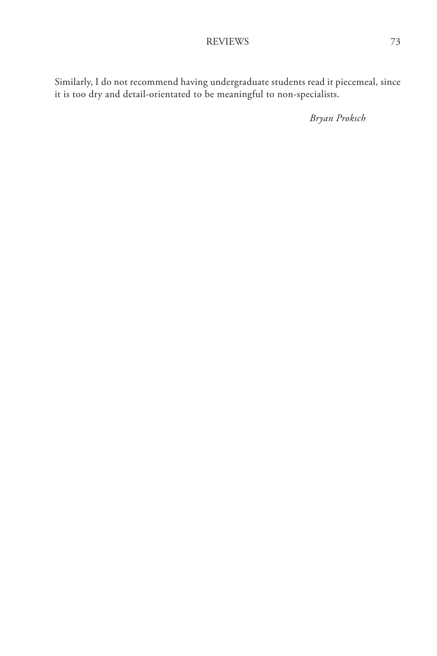Similarly, I do not recommend having undergraduate students read it piecemeal, since it is too dry and detail-orientated to be meaningful to non-specialists.

*Bryan Proksch*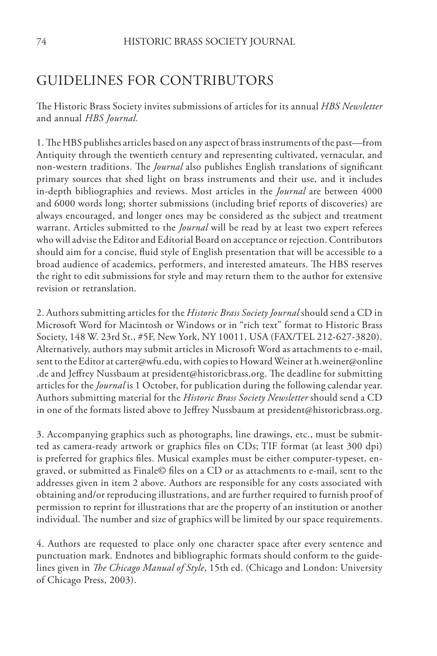# GUIDELINES FOR CONTRIBUTORS

The Historic Brass Society invites submissions of articles for its annual *HBS Newsletter* and annual *HBS Journal.*

1. The HBS publishes articles based on any aspect of brass instruments of the past—from Antiquity through the twentieth century and representing cultivated, vernacular, and non-western traditions. The *Journal* also publishes English translations of significant primary sources that shed light on brass instruments and their use, and it includes in-depth bibliographies and reviews. Most articles in the *Journal* are between 4000 and 6000 words long; shorter submissions (including brief reports of discoveries) are always encouraged, and longer ones may be considered as the subject and treatment warrant. Articles submitted to the *Journal* will be read by at least two expert referees who will advise the Editor and Editorial Board on acceptance or rejection. Contributors should aim for a concise, fluid style of English presentation that will be accessible to a broad audience of academics, performers, and interested amateurs. The HBS reserves the right to edit submissions for style and may return them to the author for extensive revision or retranslation.

2. Authors submitting articles for the *Historic Brass Society Journal* should send a CD in Microsoft Word for Macintosh or Windows or in "rich text" format to Historic Brass Society, 148 W. 23rd St., #5F, New York, NY 10011, USA (FAX/TEL 212-627-3820). Alternatively, authors may submit articles in Microsoft Word as attachments to e-mail, sent to the Editor at carter@wfu.edu, with copies to Howard Weiner at h.weiner@online .de and Jeffrey Nussbaum at president@historicbrass.org. The deadline for submitting articles for the *Journal* is 1 October, for publication during the following calendar year. Authors submitting material for the *Historic Brass Society Newsletter* should send a CD in one of the formats listed above to Jeffrey Nussbaum at president@historicbrass.org.

3. Accompanying graphics such as photographs, line drawings, etc., must be submitted as camera-ready artwork or graphics files on CDs; TIF format (at least 300 dpi) is preferred for graphics files. Musical examples must be either computer-typeset, engraved, or submitted as Finale© files on a CD or as attachments to e-mail, sent to the addresses given in item 2 above. Authors are responsible for any costs associated with obtaining and/or reproducing illustrations, and are further required to furnish proof of permission to reprint for illustrations that are the property of an institution or another individual. The number and size of graphics will be limited by our space requirements.

4. Authors are requested to place only one character space after every sentence and punctuation mark. Endnotes and bibliographic formats should conform to the guidelines given in *The Chicago Manual of Style*, 15th ed. (Chicago and London: University of Chicago Press, 2003).